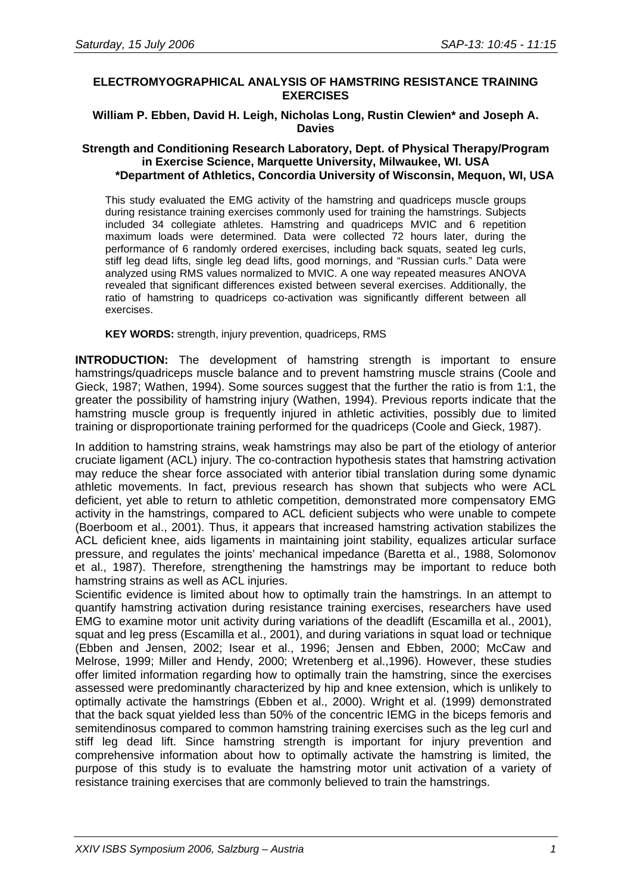# **ELECTROMYOGRAPHICAL ANALYSIS OF HAMSTRING RESISTANCE TRAINING EXERCISES**

# **William P. Ebben, David H. Leigh, Nicholas Long, Rustin Clewien\* and Joseph A. Davies**

### **Strength and Conditioning Research Laboratory, Dept. of Physical Therapy/Program in Exercise Science, Marquette University, Milwaukee, WI. USA \*Department of Athletics, Concordia University of Wisconsin, Mequon, WI, USA**

This study evaluated the EMG activity of the hamstring and quadriceps muscle groups during resistance training exercises commonly used for training the hamstrings. Subjects included 34 collegiate athletes. Hamstring and quadriceps MVIC and 6 repetition maximum loads were determined. Data were collected 72 hours later, during the performance of 6 randomly ordered exercises, including back squats, seated leg curls, stiff leg dead lifts, single leg dead lifts, good mornings, and "Russian curls." Data were analyzed using RMS values normalized to MVIC. A one way repeated measures ANOVA revealed that significant differences existed between several exercises. Additionally, the ratio of hamstring to quadriceps co-activation was significantly different between all exercises.

**KEY WORDS:** strength, injury prevention, quadriceps, RMS

**INTRODUCTION:** The development of hamstring strength is important to ensure hamstrings/quadriceps muscle balance and to prevent hamstring muscle strains (Coole and Gieck, 1987; Wathen, 1994). Some sources suggest that the further the ratio is from 1:1, the greater the possibility of hamstring injury (Wathen, 1994). Previous reports indicate that the hamstring muscle group is frequently injured in athletic activities, possibly due to limited training or disproportionate training performed for the quadriceps (Coole and Gieck, 1987).

In addition to hamstring strains, weak hamstrings may also be part of the etiology of anterior cruciate ligament (ACL) injury. The co-contraction hypothesis states that hamstring activation may reduce the shear force associated with anterior tibial translation during some dynamic athletic movements. In fact, previous research has shown that subjects who were ACL deficient, yet able to return to athletic competition, demonstrated more compensatory EMG activity in the hamstrings, compared to ACL deficient subjects who were unable to compete (Boerboom et al., 2001). Thus, it appears that increased hamstring activation stabilizes the ACL deficient knee, aids ligaments in maintaining joint stability, equalizes articular surface pressure, and regulates the joints' mechanical impedance (Baretta et al., 1988, Solomonov et al., 1987). Therefore, strengthening the hamstrings may be important to reduce both hamstring strains as well as ACL injuries.

Scientific evidence is limited about how to optimally train the hamstrings. In an attempt to quantify hamstring activation during resistance training exercises, researchers have used EMG to examine motor unit activity during variations of the deadlift (Escamilla et al., 2001), squat and leg press (Escamilla et al., 2001), and during variations in squat load or technique (Ebben and Jensen, 2002; Isear et al., 1996; Jensen and Ebben, 2000; McCaw and Melrose, 1999; Miller and Hendy, 2000; Wretenberg et al.,1996). However, these studies offer limited information regarding how to optimally train the hamstring, since the exercises assessed were predominantly characterized by hip and knee extension, which is unlikely to optimally activate the hamstrings (Ebben et al., 2000). Wright et al. (1999) demonstrated that the back squat yielded less than 50% of the concentric IEMG in the biceps femoris and semitendinosus compared to common hamstring training exercises such as the leg curl and stiff leg dead lift. Since hamstring strength is important for injury prevention and comprehensive information about how to optimally activate the hamstring is limited, the purpose of this study is to evaluate the hamstring motor unit activation of a variety of resistance training exercises that are commonly believed to train the hamstrings.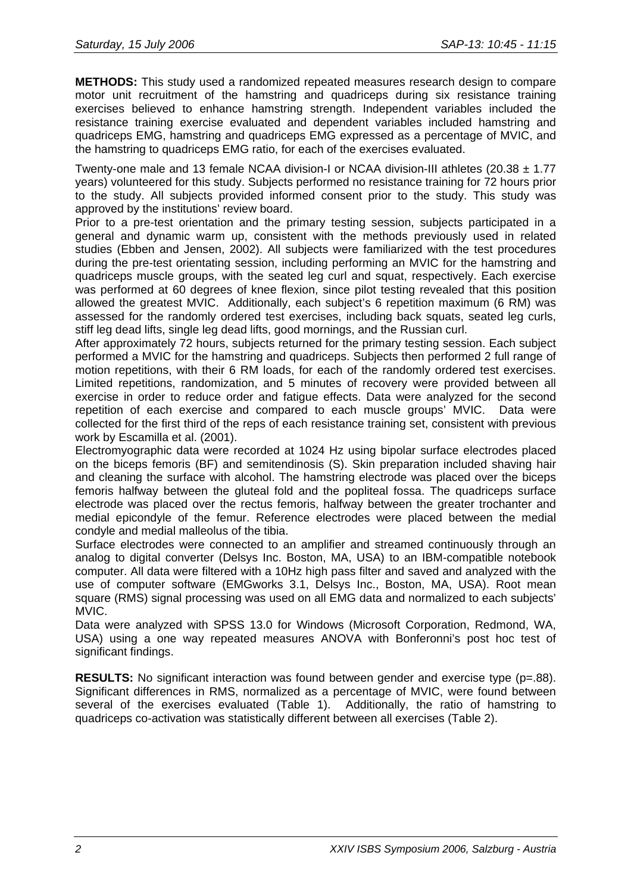**METHODS:** This study used a randomized repeated measures research design to compare motor unit recruitment of the hamstring and quadriceps during six resistance training exercises believed to enhance hamstring strength. Independent variables included the resistance training exercise evaluated and dependent variables included hamstring and quadriceps EMG, hamstring and quadriceps EMG expressed as a percentage of MVIC, and the hamstring to quadriceps EMG ratio, for each of the exercises evaluated.

Twenty-one male and 13 female NCAA division-I or NCAA division-III athletes  $(20.38 \pm 1.77)$ years) volunteered for this study. Subjects performed no resistance training for 72 hours prior to the study. All subjects provided informed consent prior to the study. This study was approved by the institutions' review board.

Prior to a pre-test orientation and the primary testing session, subjects participated in a general and dynamic warm up, consistent with the methods previously used in related studies (Ebben and Jensen, 2002). All subjects were familiarized with the test procedures during the pre-test orientating session, including performing an MVIC for the hamstring and quadriceps muscle groups, with the seated leg curl and squat, respectively. Each exercise was performed at 60 degrees of knee flexion, since pilot testing revealed that this position allowed the greatest MVIC. Additionally, each subject's 6 repetition maximum (6 RM) was assessed for the randomly ordered test exercises, including back squats, seated leg curls, stiff leg dead lifts, single leg dead lifts, good mornings, and the Russian curl.

After approximately 72 hours, subjects returned for the primary testing session. Each subject performed a MVIC for the hamstring and quadriceps. Subjects then performed 2 full range of motion repetitions, with their 6 RM loads, for each of the randomly ordered test exercises. Limited repetitions, randomization, and 5 minutes of recovery were provided between all exercise in order to reduce order and fatigue effects. Data were analyzed for the second repetition of each exercise and compared to each muscle groups' MVIC. Data were collected for the first third of the reps of each resistance training set, consistent with previous work by Escamilla et al. (2001).

Electromyographic data were recorded at 1024 Hz using bipolar surface electrodes placed on the biceps femoris (BF) and semitendinosis (S). Skin preparation included shaving hair and cleaning the surface with alcohol. The hamstring electrode was placed over the biceps femoris halfway between the gluteal fold and the popliteal fossa. The quadriceps surface electrode was placed over the rectus femoris, halfway between the greater trochanter and medial epicondyle of the femur. Reference electrodes were placed between the medial condyle and medial malleolus of the tibia.

Surface electrodes were connected to an amplifier and streamed continuously through an analog to digital converter (Delsys Inc. Boston, MA, USA) to an IBM-compatible notebook computer. All data were filtered with a 10Hz high pass filter and saved and analyzed with the use of computer software (EMGworks 3.1, Delsys Inc., Boston, MA, USA). Root mean square (RMS) signal processing was used on all EMG data and normalized to each subjects' MVIC.

Data were analyzed with SPSS 13.0 for Windows (Microsoft Corporation, Redmond, WA, USA) using a one way repeated measures ANOVA with Bonferonni's post hoc test of significant findings.

**RESULTS:** No significant interaction was found between gender and exercise type (p=.88). Significant differences in RMS, normalized as a percentage of MVIC, were found between several of the exercises evaluated (Table 1). Additionally, the ratio of hamstring to quadriceps co-activation was statistically different between all exercises (Table 2).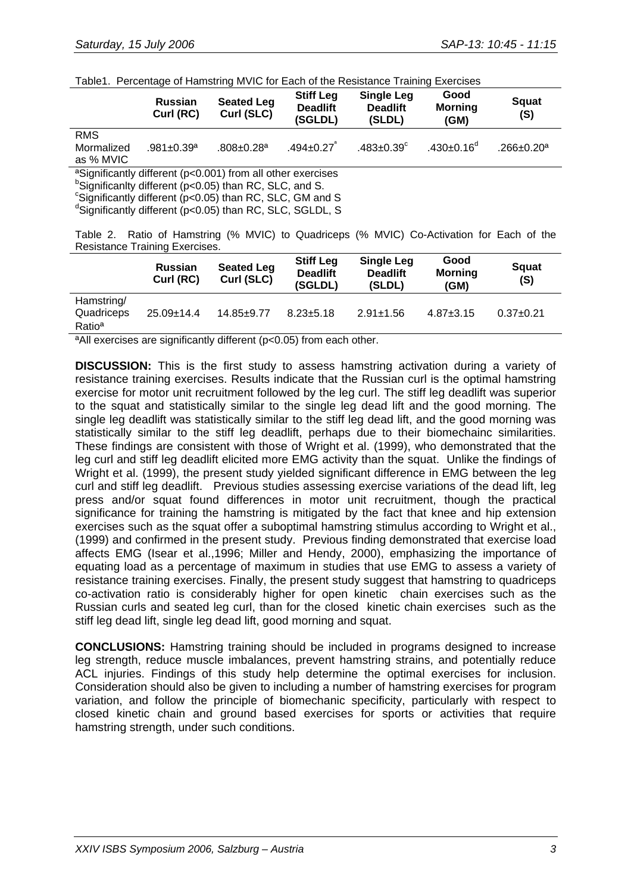| Table1. Percentage of Hamstring MVIC for Each of the Resistance Training Exercises |  |  |
|------------------------------------------------------------------------------------|--|--|
|                                                                                    |  |  |

|                                                                                                                                                                                                                                                                                               | <b>Russian</b><br>Curl (RC)  | <b>Seated Leg</b><br>Curl (SLC) | <b>Stiff Leg</b><br><b>Deadlift</b><br>(SGLDL) | <b>Single Leg</b><br><b>Deadlift</b><br>(SLDL) | Good<br><b>Morning</b><br>(GM) | <b>Squat</b><br>(S)          |
|-----------------------------------------------------------------------------------------------------------------------------------------------------------------------------------------------------------------------------------------------------------------------------------------------|------------------------------|---------------------------------|------------------------------------------------|------------------------------------------------|--------------------------------|------------------------------|
| <b>RMS</b><br>Mormalized<br>as % MVIC                                                                                                                                                                                                                                                         | $.981 \pm 0.39$ <sup>a</sup> | $.808 \pm 0.28$ <sup>a</sup>    | $.494 \pm 0.27$ <sup>a</sup>                   | $.483 \pm 0.39$ <sup>c</sup>                   | .430 $\pm$ 0.16 <sup>d</sup>   | $.266 \pm 0.20$ <sup>a</sup> |
| <sup>a</sup> Significantly different (p<0.001) from all other exercises<br><sup>b</sup> Significanity different (p<0.05) than RC, SLC, and S.<br><sup>c</sup> Significantly different (p<0.05) than RC, SLC, GM and S<br><sup>d</sup> Significantly different (p<0.05) than RC, SLC, SGLDL, S |                              |                                 |                                                |                                                |                                |                              |

Table 2. Ratio of Hamstring (% MVIC) to Quadriceps (% MVIC) Co-Activation for Each of the Resistance Training Exercises.

|                                                | <b>Russian</b><br>Curl (RC) | <b>Seated Leg</b><br>Curl (SLC) | <b>Stiff Leg</b><br><b>Deadlift</b><br>(SGLDL) | <b>Single Leg</b><br><b>Deadlift</b><br>(SLDL) | Good<br><b>Morning</b><br>(GM) | <b>Squat</b><br>(S) |
|------------------------------------------------|-----------------------------|---------------------------------|------------------------------------------------|------------------------------------------------|--------------------------------|---------------------|
| Hamstring/<br>Quadriceps<br>Ratio <sup>a</sup> | $25.09 \pm 14.4$            | $14.85 + 9.77$                  | $8.23 \pm 5.18$                                | $2.91 \pm 1.56$                                | $4.87 \pm 3.15$                | $0.37+0.21$         |

<sup>a</sup>All exercises are significantly different (p<0.05) from each other.

**DISCUSSION:** This is the first study to assess hamstring activation during a variety of resistance training exercises. Results indicate that the Russian curl is the optimal hamstring exercise for motor unit recruitment followed by the leg curl. The stiff leg deadlift was superior to the squat and statistically similar to the single leg dead lift and the good morning. The single leg deadlift was statistically similar to the stiff leg dead lift, and the good morning was statistically similar to the stiff leg deadlift, perhaps due to their biomechainc similarities. These findings are consistent with those of Wright et al. (1999), who demonstrated that the leg curl and stiff leg deadlift elicited more EMG activity than the squat. Unlike the findings of Wright et al. (1999), the present study yielded significant difference in EMG between the leg curl and stiff leg deadlift. Previous studies assessing exercise variations of the dead lift, leg press and/or squat found differences in motor unit recruitment, though the practical significance for training the hamstring is mitigated by the fact that knee and hip extension exercises such as the squat offer a suboptimal hamstring stimulus according to Wright et al., (1999) and confirmed in the present study. Previous finding demonstrated that exercise load affects EMG (Isear et al.,1996; Miller and Hendy, 2000), emphasizing the importance of equating load as a percentage of maximum in studies that use EMG to assess a variety of resistance training exercises. Finally, the present study suggest that hamstring to quadriceps co-activation ratio is considerably higher for open kinetic chain exercises such as the Russian curls and seated leg curl, than for the closed kinetic chain exercises such as the stiff leg dead lift, single leg dead lift, good morning and squat.

**CONCLUSIONS:** Hamstring training should be included in programs designed to increase leg strength, reduce muscle imbalances, prevent hamstring strains, and potentially reduce ACL injuries. Findings of this study help determine the optimal exercises for inclusion. Consideration should also be given to including a number of hamstring exercises for program variation, and follow the principle of biomechanic specificity, particularly with respect to closed kinetic chain and ground based exercises for sports or activities that require hamstring strength, under such conditions.